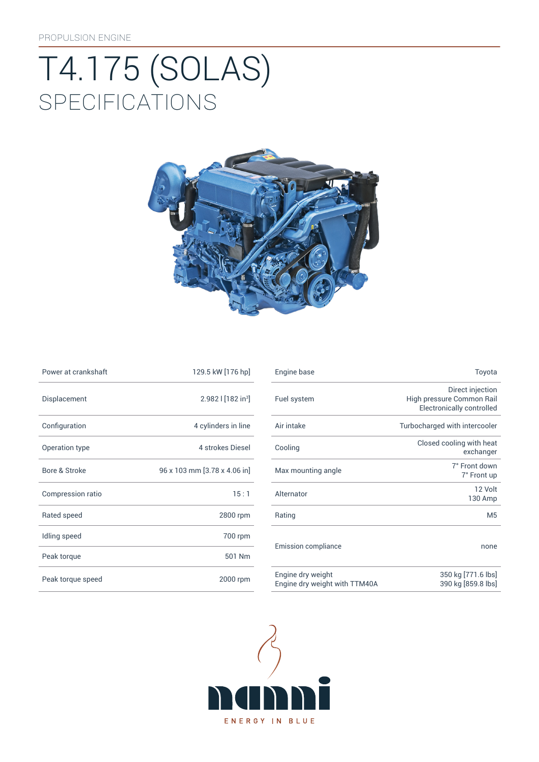# **SPECIFICATIONS** T4.175 (SOLAS)



| Power at crankshaft | 129.5 kW [176 hp]            |
|---------------------|------------------------------|
| Displacement        | 2.982   $[182 in3]$          |
| Configuration       | 4 cylinders in line          |
| Operation type      | 4 strokes Diesel             |
| Bore & Stroke       | 96 x 103 mm [3.78 x 4.06 in] |
| Compression ratio   | 15:1                         |
| Rated speed         | 2800 rpm                     |
| Idling speed        | 700 rpm                      |
| Peak torque         | 501 Nm                       |
| Peak torque speed   | 2000 rpm                     |

| Power at crankshaft | 129.5 kW [176 hp]              | Engine base                | Toyota                                                                            |
|---------------------|--------------------------------|----------------------------|-----------------------------------------------------------------------------------|
| Displacement        | 2.982   [182 in <sup>3</sup> ] | Fuel system                | Direct injection<br>High pressure Common Rail<br><b>Electronically controlled</b> |
| Configuration       | 4 cylinders in line            | Air intake                 | Turbocharged with intercooler                                                     |
| Operation type      | 4 strokes Diesel               | Cooling                    | Closed cooling with heat<br>exchanger                                             |
| Bore & Stroke       | 96 x 103 mm [3.78 x 4.06 in]   | Max mounting angle         | 7° Front down<br>7° Front up                                                      |
| Compression ratio   | 15:1                           | Alternator                 | 12 Volt<br>130 Amp                                                                |
| Rated speed         | 2800 rpm                       | Rating                     | M <sub>5</sub>                                                                    |
| Idling speed        | 700 rpm                        |                            |                                                                                   |
| Peak torque         | 501 Nm                         | <b>Emission compliance</b> | none                                                                              |
| Doak torque speed   | $2000 \, \text{mm}$            | Engine dry weight          | 350 kg [771.6 lbs]                                                                |

390 kg [859.8 lbs]



Engine dry weight with TTM40A